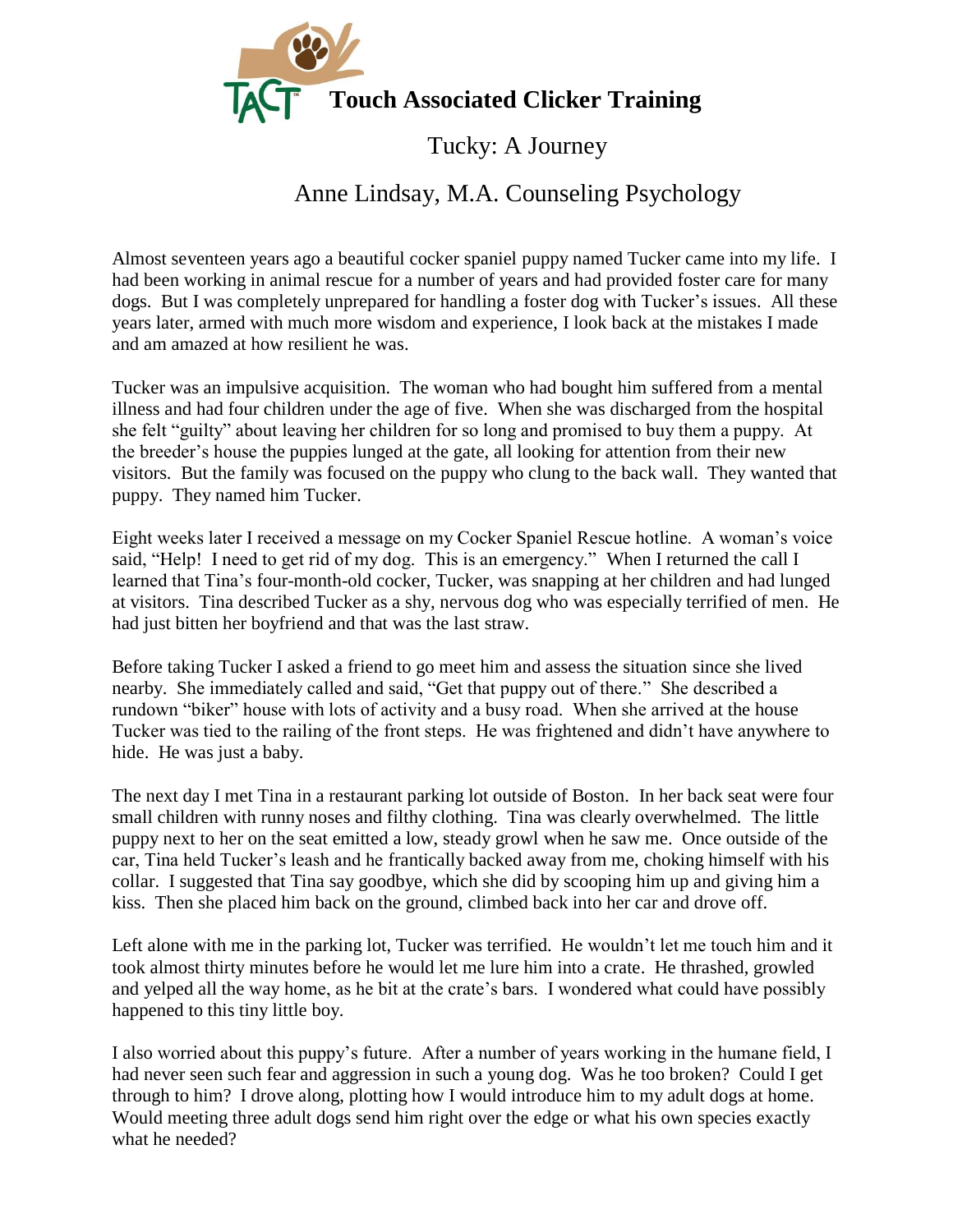

## Tucky: A Journey

## Anne Lindsay, M.A. Counseling Psychology

Almost seventeen years ago a beautiful cocker spaniel puppy named Tucker came into my life. I had been working in animal rescue for a number of years and had provided foster care for many dogs. But I was completely unprepared for handling a foster dog with Tucker's issues. All these years later, armed with much more wisdom and experience, I look back at the mistakes I made and am amazed at how resilient he was.

Tucker was an impulsive acquisition. The woman who had bought him suffered from a mental illness and had four children under the age of five. When she was discharged from the hospital she felt "guilty" about leaving her children for so long and promised to buy them a puppy. At the breeder's house the puppies lunged at the gate, all looking for attention from their new visitors. But the family was focused on the puppy who clung to the back wall. They wanted that puppy. They named him Tucker.

Eight weeks later I received a message on my Cocker Spaniel Rescue hotline. A woman's voice said, "Help! I need to get rid of my dog. This is an emergency." When I returned the call I learned that Tina's four-month-old cocker, Tucker, was snapping at her children and had lunged at visitors. Tina described Tucker as a shy, nervous dog who was especially terrified of men. He had just bitten her boyfriend and that was the last straw.

Before taking Tucker I asked a friend to go meet him and assess the situation since she lived nearby. She immediately called and said, "Get that puppy out of there." She described a rundown "biker" house with lots of activity and a busy road. When she arrived at the house Tucker was tied to the railing of the front steps. He was frightened and didn't have anywhere to hide. He was just a baby.

The next day I met Tina in a restaurant parking lot outside of Boston. In her back seat were four small children with runny noses and filthy clothing. Tina was clearly overwhelmed. The little puppy next to her on the seat emitted a low, steady growl when he saw me. Once outside of the car, Tina held Tucker's leash and he frantically backed away from me, choking himself with his collar. I suggested that Tina say goodbye, which she did by scooping him up and giving him a kiss. Then she placed him back on the ground, climbed back into her car and drove off.

Left alone with me in the parking lot, Tucker was terrified. He wouldn't let me touch him and it took almost thirty minutes before he would let me lure him into a crate. He thrashed, growled and yelped all the way home, as he bit at the crate's bars. I wondered what could have possibly happened to this tiny little boy.

I also worried about this puppy's future. After a number of years working in the humane field, I had never seen such fear and aggression in such a young dog. Was he too broken? Could I get through to him? I drove along, plotting how I would introduce him to my adult dogs at home. Would meeting three adult dogs send him right over the edge or what his own species exactly what he needed?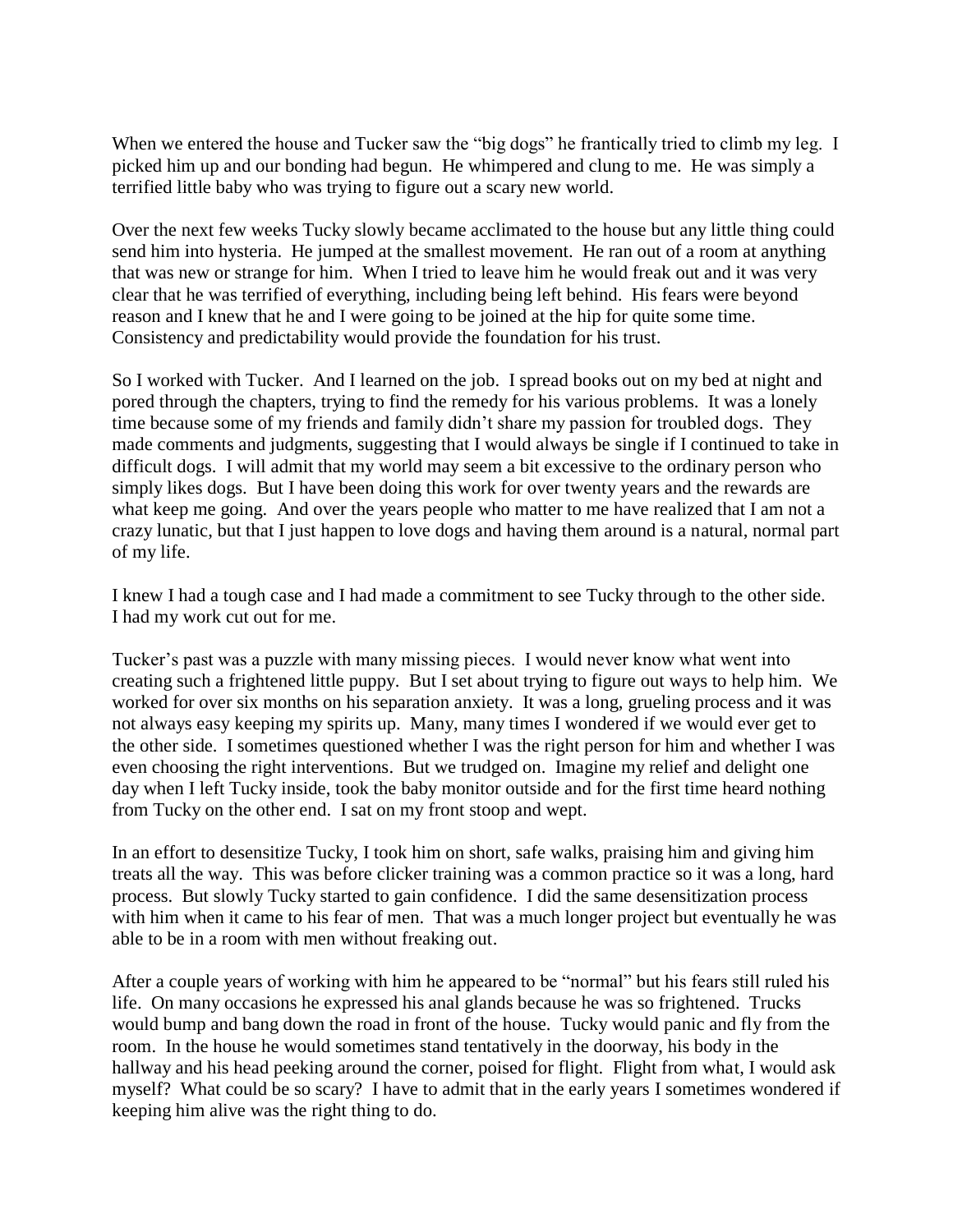When we entered the house and Tucker saw the "big dogs" he frantically tried to climb my leg. I picked him up and our bonding had begun. He whimpered and clung to me. He was simply a terrified little baby who was trying to figure out a scary new world.

Over the next few weeks Tucky slowly became acclimated to the house but any little thing could send him into hysteria. He jumped at the smallest movement. He ran out of a room at anything that was new or strange for him. When I tried to leave him he would freak out and it was very clear that he was terrified of everything, including being left behind. His fears were beyond reason and I knew that he and I were going to be joined at the hip for quite some time. Consistency and predictability would provide the foundation for his trust.

So I worked with Tucker. And I learned on the job. I spread books out on my bed at night and pored through the chapters, trying to find the remedy for his various problems. It was a lonely time because some of my friends and family didn't share my passion for troubled dogs. They made comments and judgments, suggesting that I would always be single if I continued to take in difficult dogs. I will admit that my world may seem a bit excessive to the ordinary person who simply likes dogs. But I have been doing this work for over twenty years and the rewards are what keep me going. And over the years people who matter to me have realized that I am not a crazy lunatic, but that I just happen to love dogs and having them around is a natural, normal part of my life.

I knew I had a tough case and I had made a commitment to see Tucky through to the other side. I had my work cut out for me.

Tucker's past was a puzzle with many missing pieces. I would never know what went into creating such a frightened little puppy. But I set about trying to figure out ways to help him. We worked for over six months on his separation anxiety. It was a long, grueling process and it was not always easy keeping my spirits up. Many, many times I wondered if we would ever get to the other side. I sometimes questioned whether I was the right person for him and whether I was even choosing the right interventions. But we trudged on. Imagine my relief and delight one day when I left Tucky inside, took the baby monitor outside and for the first time heard nothing from Tucky on the other end. I sat on my front stoop and wept.

In an effort to desensitize Tucky, I took him on short, safe walks, praising him and giving him treats all the way. This was before clicker training was a common practice so it was a long, hard process. But slowly Tucky started to gain confidence. I did the same desensitization process with him when it came to his fear of men. That was a much longer project but eventually he was able to be in a room with men without freaking out.

After a couple years of working with him he appeared to be "normal" but his fears still ruled his life. On many occasions he expressed his anal glands because he was so frightened. Trucks would bump and bang down the road in front of the house. Tucky would panic and fly from the room. In the house he would sometimes stand tentatively in the doorway, his body in the hallway and his head peeking around the corner, poised for flight. Flight from what, I would ask myself? What could be so scary? I have to admit that in the early years I sometimes wondered if keeping him alive was the right thing to do.